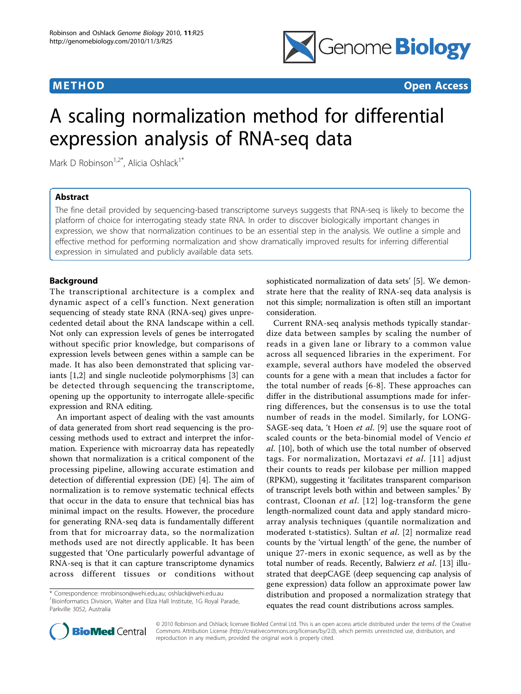

**METHOD CONSIDERING ACCESS CONSIDERING ACCESS CONSIDERING ACCESS** 

# A scaling normalization method for differential expression analysis of RNA-seq data

Mark D Robinson<sup>1,2\*</sup>, Alicia Oshlack<sup>1\*</sup>

# Abstract

The fine detail provided by sequencing-based transcriptome surveys suggests that RNA-seq is likely to become the platform of choice for interrogating steady state RNA. In order to discover biologically important changes in expression, we show that normalization continues to be an essential step in the analysis. We outline a simple and effective method for performing normalization and show dramatically improved results for inferring differential expression in simulated and publicly available data sets.

# Background

The transcriptional architecture is a complex and dynamic aspect of a cell's function. Next generation sequencing of steady state RNA (RNA-seq) gives unprecedented detail about the RNA landscape within a cell. Not only can expression levels of genes be interrogated without specific prior knowledge, but comparisons of expression levels between genes within a sample can be made. It has also been demonstrated that splicing variants [[1,2](#page-7-0)] and single nucleotide polymorphisms [[3\]](#page-7-0) can be detected through sequencing the transcriptome, opening up the opportunity to interrogate allele-specific expression and RNA editing.

An important aspect of dealing with the vast amounts of data generated from short read sequencing is the processing methods used to extract and interpret the information. Experience with microarray data has repeatedly shown that normalization is a critical component of the processing pipeline, allowing accurate estimation and detection of differential expression (DE) [\[4](#page-7-0)]. The aim of normalization is to remove systematic technical effects that occur in the data to ensure that technical bias has minimal impact on the results. However, the procedure for generating RNA-seq data is fundamentally different from that for microarray data, so the normalization methods used are not directly applicable. It has been suggested that 'One particularly powerful advantage of RNA-seq is that it can capture transcriptome dynamics across different tissues or conditions without

sophisticated normalization of data sets' [[5\]](#page-7-0). We demonstrate here that the reality of RNA-seq data analysis is not this simple; normalization is often still an important consideration.

Current RNA-seq analysis methods typically standardize data between samples by scaling the number of reads in a given lane or library to a common value across all sequenced libraries in the experiment. For example, several authors have modeled the observed counts for a gene with a mean that includes a factor for the total number of reads [[6-8](#page-7-0)]. These approaches can differ in the distributional assumptions made for inferring differences, but the consensus is to use the total number of reads in the model. Similarly, for LONG-SAGE-seq data, 't Hoen et al. [[9\]](#page-7-0) use the square root of scaled counts or the beta-binomial model of Vencio et al. [\[10](#page-7-0)], both of which use the total number of observed tags. For normalization, Mortazavi et al. [[11](#page-7-0)] adjust their counts to reads per kilobase per million mapped (RPKM), suggesting it 'facilitates transparent comparison of transcript levels both within and between samples.' By contrast, Cloonan et al. [[12\]](#page-7-0) log-transform the gene length-normalized count data and apply standard microarray analysis techniques (quantile normalization and moderated t-statistics). Sultan et al. [[2\]](#page-7-0) normalize read counts by the 'virtual length' of the gene, the number of unique 27-mers in exonic sequence, as well as by the total number of reads. Recently, Balwierz et al. [[13\]](#page-7-0) illustrated that deepCAGE (deep sequencing cap analysis of gene expression) data follow an approximate power law distribution and proposed a normalization strategy that equates the read count distributions across samples.



© 2010 Robinson and Oshlack; licensee BioMed Central Ltd. This is an open access article distributed under the terms of the Creative Commons Attribution License [\(http://creativecommons.org/licenses/by/2.0](http://creativecommons.org/licenses/by/2.0)), which permits unrestricted use, distribution, and reproduction in any medium, provided the original work is properly cited.

<sup>\*</sup> Correspondence: [mrobinson@wehi.edu.au;](mailto:mrobinson@wehi.edu.au) [oshlack@wehi.edu.au](mailto:oshlack@wehi.edu.au) <sup>1</sup> Bioinformatics Division, Walter and Eliza Hall Institute, 1G Royal Parade, Parkville 3052, Australia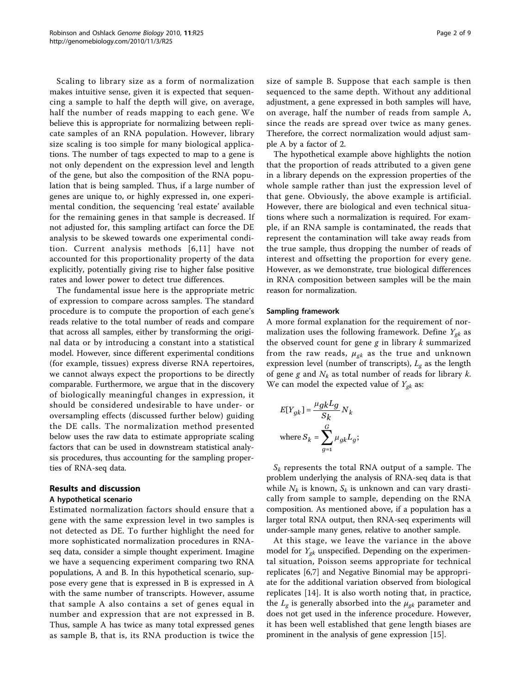Scaling to library size as a form of normalization makes intuitive sense, given it is expected that sequencing a sample to half the depth will give, on average, half the number of reads mapping to each gene. We believe this is appropriate for normalizing between replicate samples of an RNA population. However, library size scaling is too simple for many biological applications. The number of tags expected to map to a gene is not only dependent on the expression level and length of the gene, but also the composition of the RNA population that is being sampled. Thus, if a large number of genes are unique to, or highly expressed in, one experimental condition, the sequencing 'real estate' available for the remaining genes in that sample is decreased. If not adjusted for, this sampling artifact can force the DE analysis to be skewed towards one experimental condition. Current analysis methods [[6](#page-7-0),[11](#page-7-0)] have not accounted for this proportionality property of the data explicitly, potentially giving rise to higher false positive rates and lower power to detect true differences.

The fundamental issue here is the appropriate metric of expression to compare across samples. The standard procedure is to compute the proportion of each gene's reads relative to the total number of reads and compare that across all samples, either by transforming the original data or by introducing a constant into a statistical model. However, since different experimental conditions (for example, tissues) express diverse RNA repertoires, we cannot always expect the proportions to be directly comparable. Furthermore, we argue that in the discovery of biologically meaningful changes in expression, it should be considered undesirable to have under- or oversampling effects (discussed further below) guiding the DE calls. The normalization method presented below uses the raw data to estimate appropriate scaling factors that can be used in downstream statistical analysis procedures, thus accounting for the sampling properties of RNA-seq data.

# Results and discussion

#### A hypothetical scenario

Estimated normalization factors should ensure that a gene with the same expression level in two samples is not detected as DE. To further highlight the need for more sophisticated normalization procedures in RNAseq data, consider a simple thought experiment. Imagine we have a sequencing experiment comparing two RNA populations, A and B. In this hypothetical scenario, suppose every gene that is expressed in B is expressed in A with the same number of transcripts. However, assume that sample A also contains a set of genes equal in number and expression that are not expressed in B. Thus, sample A has twice as many total expressed genes as sample B, that is, its RNA production is twice the size of sample B. Suppose that each sample is then sequenced to the same depth. Without any additional adjustment, a gene expressed in both samples will have, on average, half the number of reads from sample A, since the reads are spread over twice as many genes. Therefore, the correct normalization would adjust sample A by a factor of 2.

The hypothetical example above highlights the notion that the proportion of reads attributed to a given gene in a library depends on the expression properties of the whole sample rather than just the expression level of that gene. Obviously, the above example is artificial. However, there are biological and even technical situations where such a normalization is required. For example, if an RNA sample is contaminated, the reads that represent the contamination will take away reads from the true sample, thus dropping the number of reads of interest and offsetting the proportion for every gene. However, as we demonstrate, true biological differences in RNA composition between samples will be the main reason for normalization.

#### Sampling framework

A more formal explanation for the requirement of normalization uses the following framework. Define  $Y_{gk}$  as the observed count for gene  $g$  in library  $k$  summarized from the raw reads,  $\mu_{gk}$  as the true and unknown expression level (number of transcripts),  $L_g$  as the length of gene g and  $N_k$  as total number of reads for library k. We can model the expected value of  $Y_{gk}$  as:

$$
E[Y_{gk}] = \frac{\mu_{gk} L_g}{S_k} N_k
$$
  
where  $S_k = \sum_{g=1}^{G} \mu_{gk} L_g$ ;

 $S_k$  represents the total RNA output of a sample. The problem underlying the analysis of RNA-seq data is that while  $N_k$  is known,  $S_k$  is unknown and can vary drastically from sample to sample, depending on the RNA composition. As mentioned above, if a population has a larger total RNA output, then RNA-seq experiments will under-sample many genes, relative to another sample.

At this stage, we leave the variance in the above model for  $Y_{gk}$  unspecified. Depending on the experimental situation, Poisson seems appropriate for technical replicates [\[6,7](#page-7-0)] and Negative Binomial may be appropriate for the additional variation observed from biological replicates [\[14](#page-7-0)]. It is also worth noting that, in practice, the  $L_g$  is generally absorbed into the  $\mu_{gk}$  parameter and does not get used in the inference procedure. However, it has been well established that gene length biases are prominent in the analysis of gene expression [\[15\]](#page-7-0).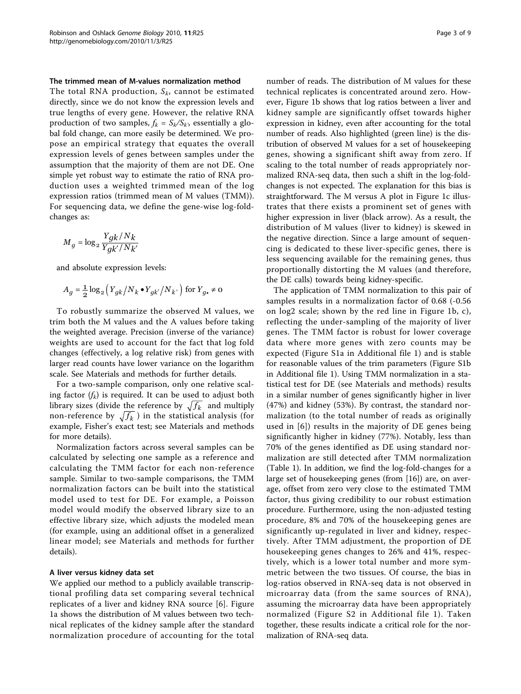#### The trimmed mean of M-values normalization method

The total RNA production,  $S_k$ , cannot be estimated directly, since we do not know the expression levels and true lengths of every gene. However, the relative RNA production of two samples,  $f_k = S_k/S_k$ , essentially a glo-<br>bal fold change, can more easily be determined. We probal fold change, can more easily be determined. We propose an empirical strategy that equates the overall expression levels of genes between samples under the assumption that the majority of them are not DE. One simple yet robust way to estimate the ratio of RNA production uses a weighted trimmed mean of the log expression ratios (trimmed mean of M values (TMM)). For sequencing data, we define the gene-wise log-foldchanges as:

$$
M_g = \log_2 \frac{Y_{gk}/N_k}{Y_{gk}/N_k}
$$

and absolute expression levels:

$$
A_g = \frac{1}{2}\log_2\left(Y_{gk}/N_k\bullet Y_{gk'}/N_{k'}\right) \text{ for } Y_{g\bullet} \neq 0
$$

To robustly summarize the observed M values, we trim both the M values and the A values before taking the weighted average. Precision (inverse of the variance) weights are used to account for the fact that log fold changes (effectively, a log relative risk) from genes with larger read counts have lower variance on the logarithm scale. See Materials and methods for further details.

For a two-sample comparison, only one relative scaling factor  $(f_k)$  is required. It can be used to adjust both library sizes (divide the reference by  $\sqrt{f_k}$  and multiply non-reference by  $\sqrt{f_k}$ ) in the statistical analysis (for example, Fisher's exact test; see Materials and methods for more details).

Normalization factors across several samples can be calculated by selecting one sample as a reference and calculating the TMM factor for each non-reference sample. Similar to two-sample comparisons, the TMM normalization factors can be built into the statistical model used to test for DE. For example, a Poisson model would modify the observed library size to an effective library size, which adjusts the modeled mean (for example, using an additional offset in a generalized linear model; see Materials and methods for further details).

#### A liver versus kidney data set

We applied our method to a publicly available transcriptional profiling data set comparing several technical replicates of a liver and kidney RNA source [[6](#page-7-0)]. Figure [1a](#page-3-0) shows the distribution of M values between two technical replicates of the kidney sample after the standard normalization procedure of accounting for the total number of reads. The distribution of M values for these technical replicates is concentrated around zero. However, Figure [1b](#page-3-0) shows that log ratios between a liver and kidney sample are significantly offset towards higher expression in kidney, even after accounting for the total number of reads. Also highlighted (green line) is the distribution of observed M values for a set of housekeeping genes, showing a significant shift away from zero. If scaling to the total number of reads appropriately normalized RNA-seq data, then such a shift in the log-foldchanges is not expected. The explanation for this bias is straightforward. The M versus A plot in Figure [1c](#page-3-0) illustrates that there exists a prominent set of genes with higher expression in liver (black arrow). As a result, the distribution of M values (liver to kidney) is skewed in the negative direction. Since a large amount of sequencing is dedicated to these liver-specific genes, there is less sequencing available for the remaining genes, thus proportionally distorting the M values (and therefore, the DE calls) towards being kidney-specific.

The application of TMM normalization to this pair of samples results in a normalization factor of 0.68 (-0.56 on log2 scale; shown by the red line in Figure [1b, c\)](#page-3-0), reflecting the under-sampling of the majority of liver genes. The TMM factor is robust for lower coverage data where more genes with zero counts may be expected (Figure S1a in Additional file [1\)](#page-7-0) and is stable for reasonable values of the trim parameters (Figure S1b in Additional file [1](#page-7-0)). Using TMM normalization in a statistical test for DE (see Materials and methods) results in a similar number of genes significantly higher in liver (47%) and kidney (53%). By contrast, the standard normalization (to the total number of reads as originally used in [\[6](#page-7-0)]) results in the majority of DE genes being significantly higher in kidney (77%). Notably, less than 70% of the genes identified as DE using standard normalization are still detected after TMM normalization (Table [1\)](#page-3-0). In addition, we find the log-fold-changes for a large set of housekeeping genes (from [\[16\]](#page-7-0)) are, on average, offset from zero very close to the estimated TMM factor, thus giving credibility to our robust estimation procedure. Furthermore, using the non-adjusted testing procedure, 8% and 70% of the housekeeping genes are significantly up-regulated in liver and kidney, respectively. After TMM adjustment, the proportion of DE housekeeping genes changes to 26% and 41%, respectively, which is a lower total number and more symmetric between the two tissues. Of course, the bias in log-ratios observed in RNA-seq data is not observed in microarray data (from the same sources of RNA), assuming the microarray data have been appropriately normalized (Figure S2 in Additional file [1](#page-7-0)). Taken together, these results indicate a critical role for the normalization of RNA-seq data.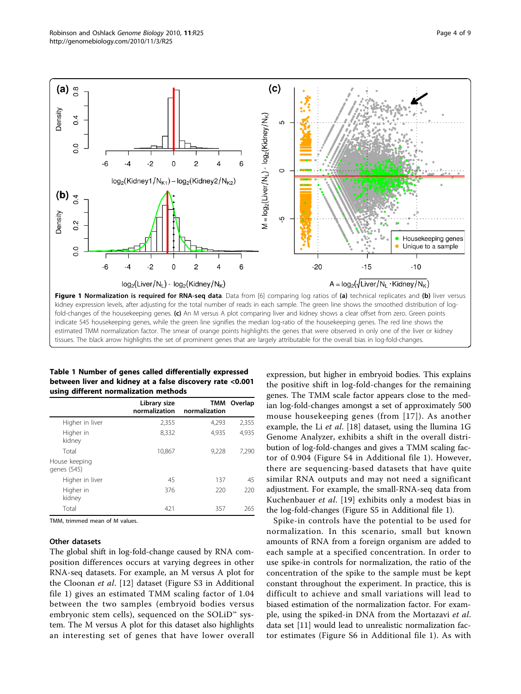<span id="page-3-0"></span>

Table 1 Number of genes called differentially expressed between liver and kidney at a false discovery rate <0.001 using different normalization methods

| Library size<br>normalization | normalization | TMM Overlap |
|-------------------------------|---------------|-------------|
| 2,355                         | 4,293         | 2,355       |
| 8,332                         | 4,935         | 4,935       |
| 10,867                        | 9,228         | 7,290       |
|                               |               |             |
| 45                            | 137           | 45          |
| 376                           | 220           | 220         |
| 421                           | 357           | 265         |
|                               |               |             |

TMM, trimmed mean of M values.

## Other datasets

The global shift in log-fold-change caused by RNA composition differences occurs at varying degrees in other RNA-seq datasets. For example, an M versus A plot for the Cloonan et al. [[12\]](#page-7-0) dataset (Figure S3 in Additional file [1\)](#page-7-0) gives an estimated TMM scaling factor of 1.04 between the two samples (embryoid bodies versus embryonic stem cells), sequenced on the SOLiD™ system. The M versus A plot for this dataset also highlights an interesting set of genes that have lower overall

expression, but higher in embryoid bodies. This explains the positive shift in log-fold-changes for the remaining genes. The TMM scale factor appears close to the median log-fold-changes amongst a set of approximately 500 mouse housekeeping genes (from [[17\]](#page-7-0)). As another example, the Li et al. [[18](#page-7-0)] dataset, using the llumina 1G Genome Analyzer, exhibits a shift in the overall distribution of log-fold-changes and gives a TMM scaling factor of 0.904 (Figure S4 in Additional file [1](#page-7-0)). However, there are sequencing-based datasets that have quite similar RNA outputs and may not need a significant adjustment. For example, the small-RNA-seq data from Kuchenbauer et al. [[19](#page-7-0)] exhibits only a modest bias in the log-fold-changes (Figure S5 in Additional file [1](#page-7-0)).

Spike-in controls have the potential to be used for normalization. In this scenario, small but known amounts of RNA from a foreign organism are added to each sample at a specified concentration. In order to use spike-in controls for normalization, the ratio of the concentration of the spike to the sample must be kept constant throughout the experiment. In practice, this is difficult to achieve and small variations will lead to biased estimation of the normalization factor. For example, using the spiked-in DNA from the Mortazavi et al. data set [[11\]](#page-7-0) would lead to unrealistic normalization factor estimates (Figure S6 in Additional file [1\)](#page-7-0). As with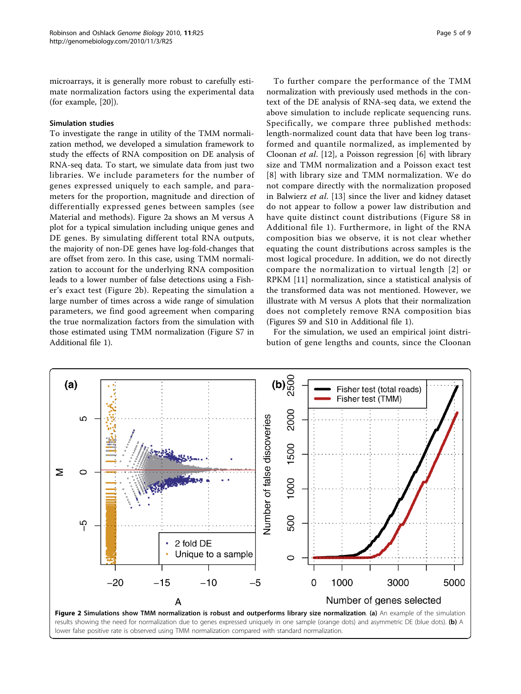<span id="page-4-0"></span>microarrays, it is generally more robust to carefully estimate normalization factors using the experimental data (for example, [\[20\]](#page-8-0)).

#### Simulation studies

To investigate the range in utility of the TMM normalization method, we developed a simulation framework to study the effects of RNA composition on DE analysis of RNA-seq data. To start, we simulate data from just two libraries. We include parameters for the number of genes expressed uniquely to each sample, and parameters for the proportion, magnitude and direction of differentially expressed genes between samples (see Material and methods). Figure 2a shows an M versus A plot for a typical simulation including unique genes and DE genes. By simulating different total RNA outputs, the majority of non-DE genes have log-fold-changes that are offset from zero. In this case, using TMM normalization to account for the underlying RNA composition leads to a lower number of false detections using a Fisher's exact test (Figure 2b). Repeating the simulation a large number of times across a wide range of simulation parameters, we find good agreement when comparing the true normalization factors from the simulation with those estimated using TMM normalization (Figure S7 in Additional file [1](#page-7-0)).

To further compare the performance of the TMM normalization with previously used methods in the context of the DE analysis of RNA-seq data, we extend the above simulation to include replicate sequencing runs. Specifically, we compare three published methods: length-normalized count data that have been log transformed and quantile normalized, as implemented by Cloonan et al. [\[12](#page-7-0)], a Poisson regression [\[6](#page-7-0)] with library size and TMM normalization and a Poisson exact test [[8](#page-7-0)] with library size and TMM normalization. We do not compare directly with the normalization proposed in Balwierz et al. [\[13](#page-7-0)] since the liver and kidney dataset do not appear to follow a power law distribution and have quite distinct count distributions (Figure S8 in Additional file [1](#page-7-0)). Furthermore, in light of the RNA composition bias we observe, it is not clear whether equating the count distributions across samples is the most logical procedure. In addition, we do not directly compare the normalization to virtual length [[2\]](#page-7-0) or RPKM [[11](#page-7-0)] normalization, since a statistical analysis of the transformed data was not mentioned. However, we illustrate with M versus A plots that their normalization does not completely remove RNA composition bias (Figures S9 and S10 in Additional file [1\)](#page-7-0).

For the simulation, we used an empirical joint distribution of gene lengths and counts, since the Cloonan

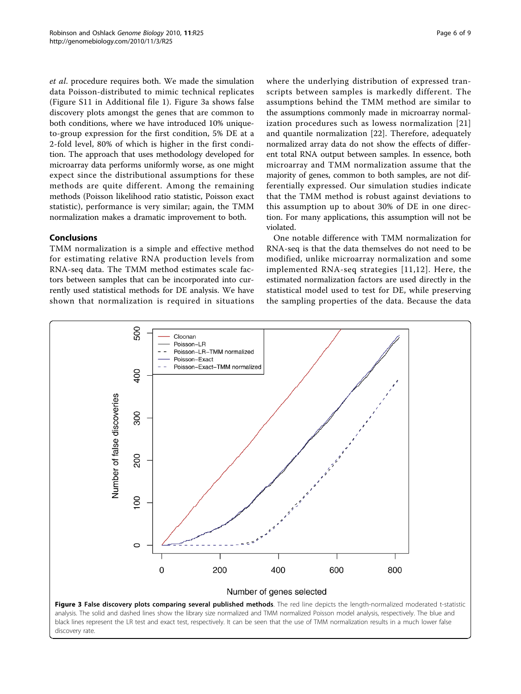<span id="page-5-0"></span>et al. procedure requires both. We made the simulation data Poisson-distributed to mimic technical replicates (Figure S11 in Additional file [1](#page-7-0)). Figure 3a shows false discovery plots amongst the genes that are common to both conditions, where we have introduced 10% uniqueto-group expression for the first condition, 5% DE at a 2-fold level, 80% of which is higher in the first condition. The approach that uses methodology developed for microarray data performs uniformly worse, as one might expect since the distributional assumptions for these methods are quite different. Among the remaining methods (Poisson likelihood ratio statistic, Poisson exact statistic), performance is very similar; again, the TMM normalization makes a dramatic improvement to both.

# Conclusions

TMM normalization is a simple and effective method for estimating relative RNA production levels from RNA-seq data. The TMM method estimates scale factors between samples that can be incorporated into currently used statistical methods for DE analysis. We have shown that normalization is required in situations where the underlying distribution of expressed transcripts between samples is markedly different. The assumptions behind the TMM method are similar to the assumptions commonly made in microarray normalization procedures such as lowess normalization [[21](#page-8-0)] and quantile normalization [[22](#page-8-0)]. Therefore, adequately normalized array data do not show the effects of different total RNA output between samples. In essence, both microarray and TMM normalization assume that the majority of genes, common to both samples, are not differentially expressed. Our simulation studies indicate that the TMM method is robust against deviations to this assumption up to about 30% of DE in one direction. For many applications, this assumption will not be violated.

One notable difference with TMM normalization for RNA-seq is that the data themselves do not need to be modified, unlike microarray normalization and some implemented RNA-seq strategies [[11,12](#page-7-0)]. Here, the estimated normalization factors are used directly in the statistical model used to test for DE, while preserving the sampling properties of the data. Because the data



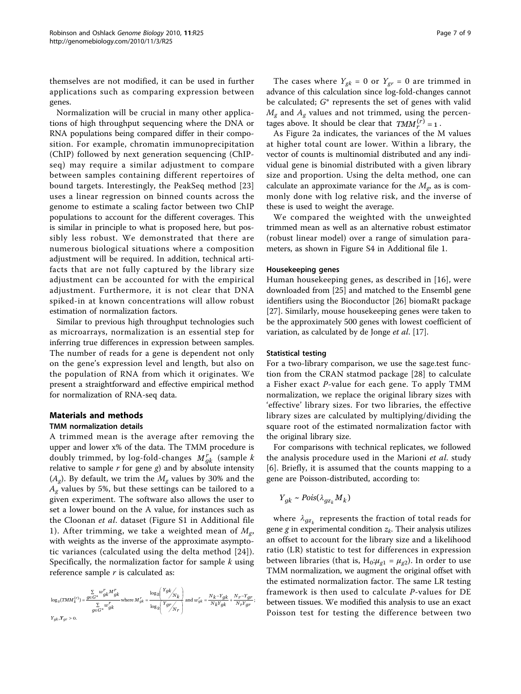themselves are not modified, it can be used in further applications such as comparing expression between genes.

Normalization will be crucial in many other applications of high throughput sequencing where the DNA or RNA populations being compared differ in their composition. For example, chromatin immunoprecipitation (ChIP) followed by next generation sequencing (ChIPseq) may require a similar adjustment to compare between samples containing different repertoires of bound targets. Interestingly, the PeakSeq method [[23](#page-8-0)] uses a linear regression on binned counts across the genome to estimate a scaling factor between two ChIP populations to account for the different coverages. This is similar in principle to what is proposed here, but possibly less robust. We demonstrated that there are numerous biological situations where a composition adjustment will be required. In addition, technical artifacts that are not fully captured by the library size adjustment can be accounted for with the empirical adjustment. Furthermore, it is not clear that DNA spiked-in at known concentrations will allow robust estimation of normalization factors.

Similar to previous high throughput technologies such as microarrays, normalization is an essential step for inferring true differences in expression between samples. The number of reads for a gene is dependent not only on the gene's expression level and length, but also on the population of RNA from which it originates. We present a straightforward and effective empirical method for normalization of RNA-seq data.

#### Materials and methods

#### TMM normalization details

A trimmed mean is the average after removing the upper and lower x% of the data. The TMM procedure is doubly trimmed, by log-fold-changes  $M_g^r$  (sample k<br>relative to sample *r* for gene *a*) and by absolute intensity relative to sample  $r$  for gene  $g$ ) and by absolute intensity  $(A_g)$ . By default, we trim the  $M_g$  values by 30% and the  $A_g$  values by 5%, but these settings can be tailored to a given experiment. The software also allows the user to set a lower bound on the A value, for instances such as the Cloonan et al. dataset (Figure S1 in Additional file [1\)](#page-7-0). After trimming, we take a weighted mean of  $M_g$ , with weights as the inverse of the approximate asymptotic variances (calculated using the delta method [\[24\]](#page-8-0)). Specifically, the normalization factor for sample  $k$  using reference sample  $r$  is calculated as:

$$
\log_2(TMM_k^{(r)}) = \frac{\sum\limits_{g \in G^*} w_{gk}^r M_{gk}^r}{\sum\limits_{g \in G^*} w_{gk}^r} \text{ where } M_{gk}^r = \frac{\log_2 \left(\frac{Y_{gk}}{N_K}\right)}{\log_2 \left(\frac{Y_{gr}}{N_T}\right)} \text{ and } w_{gk}^r = \frac{N_K - Y_{gk}}{N_K Y_{gk}} + \frac{N_r - Y_{gr}}{N_r Y_{gr}};
$$

The cases where  $Y_{gk} = 0$  or  $Y_{gr} = 0$  are trimmed in advance of this calculation since log-fold-changes cannot be calculated;  $G^*$  represents the set of genes with valid  $M_g$  and  $A_g$  values and not trimmed, using the percentages above. It should be clear that  $TMM_r^{(r)} = 1$ .

As Figure [2a](#page-4-0) indicates, the variances of the M values at higher total count are lower. Within a library, the vector of counts is multinomial distributed and any individual gene is binomial distributed with a given library size and proportion. Using the delta method, one can calculate an approximate variance for the  $M_{g}$ , as is commonly done with log relative risk, and the inverse of these is used to weight the average.

We compared the weighted with the unweighted trimmed mean as well as an alternative robust estimator (robust linear model) over a range of simulation parameters, as shown in Figure S4 in Additional file [1](#page-7-0).

#### Housekeeping genes

Human housekeeping genes, as described in [[16\]](#page-7-0), were downloaded from [\[25\]](#page-8-0) and matched to the Ensembl gene identifiers using the Bioconductor [[26\]](#page-8-0) biomaRt package [[27\]](#page-8-0). Similarly, mouse housekeeping genes were taken to be the approximately 500 genes with lowest coefficient of variation, as calculated by de Jonge et al. [\[17\]](#page-7-0).

#### Statistical testing

For a two-library comparison, we use the sage.test function from the CRAN statmod package [\[28](#page-8-0)] to calculate a Fisher exact P-value for each gene. To apply TMM normalization, we replace the original library sizes with 'effective' library sizes. For two libraries, the effective library sizes are calculated by multiplying/dividing the square root of the estimated normalization factor with the original library size.

For comparisons with technical replicates, we followed the analysis procedure used in the Marioni et al. study [[6](#page-7-0)]. Briefly, it is assumed that the counts mapping to a gene are Poisson-distributed, according to:

$$
Y_{gk} \sim Pois(\lambda_{gz_k} M_k)
$$

where  $\lambda_{gz_k}$  represents the fraction of total reads for gene g in experimental condition  $z_k$ . Their analysis utilizes an offset to account for the library size and a likelihood ratio (LR) statistic to test for differences in expression between libraries (that is,  $H_0: \mu_{g1} = \mu_{g2}$ ). In order to use TMM normalization, we augment the original offset with the estimated normalization factor. The same LR testing framework is then used to calculate P-values for DE between tissues. We modified this analysis to use an exact Poisson test for testing the difference between two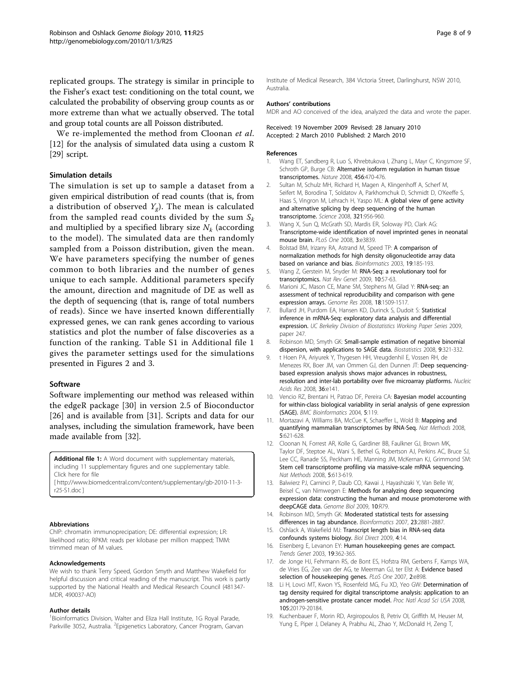<span id="page-7-0"></span>replicated groups. The strategy is similar in principle to the Fisher's exact test: conditioning on the total count, we calculated the probability of observing group counts as or more extreme than what we actually observed. The total and group total counts are all Poisson distributed.

We re-implemented the method from Cloonan et al. [12] for the analysis of simulated data using a custom R [[29\]](#page-8-0) script.

# Simulation details

The simulation is set up to sample a dataset from a given empirical distribution of read counts (that is, from a distribution of observed  $Y_{\varrho}$ ). The mean is calculated from the sampled read counts divided by the sum  $S_k$ and multiplied by a specified library size  $N_k$  (according to the model). The simulated data are then randomly sampled from a Poisson distribution, given the mean. We have parameters specifying the number of genes common to both libraries and the number of genes unique to each sample. Additional parameters specify the amount, direction and magnitude of DE as well as the depth of sequencing (that is, range of total numbers of reads). Since we have inserted known differentially expressed genes, we can rank genes according to various statistics and plot the number of false discoveries as a function of the ranking. Table S1 in Additional file 1 gives the parameter settings used for the simulations presented in Figures [2](#page-4-0) and [3](#page-5-0).

## **Software**

Software implementing our method was released within the edgeR package [[30](#page-8-0)] in version 2.5 of Bioconductor [[26\]](#page-8-0) and is available from [[31\]](#page-8-0). Scripts and data for our analyses, including the simulation framework, have been made available from [\[32\]](#page-8-0).

Additional file 1: A Word document with supplementary materials, including 11 supplementary figures and one supplementary table. Click here for file

[ http://www.biomedcentral.com/content/supplementary/gb-2010-11-3 r25-S1.doc ]

#### Abbreviations

ChIP: chromatin immunoprecipation; DE: differential expression; LR: likelihood ratio; RPKM: reads per kilobase per million mapped; TMM: trimmed mean of M values.

#### Acknowledgements

We wish to thank Terry Speed, Gordon Smyth and Matthew Wakefield for helpful discussion and critical reading of the manuscript. This work is partly supported by the National Health and Medical Research Council (481347- MDR, 490037-AO)

#### Author details

<sup>1</sup> Bioinformatics Division, Walter and Eliza Hall Institute, 1G Royal Parade, Parkville 3052, Australia. <sup>2</sup>Epigenetics Laboratory, Cancer Program, Garvan Institute of Medical Research, 384 Victoria Street, Darlinghurst, NSW 2010, Australia.

#### Authors' contributions

MDR and AO conceived of the idea, analyzed the data and wrote the paper.

Received: 19 November 2009 Revised: 28 January 2010 Accepted: 2 March 2010 Published: 2 March 2010

#### References

- 1. Wang ET, Sandberg R, Luo S, Khrebtukova I, Zhang L, Mayr C, Kingsmore SF, Schroth GP, Burge CB: [Alternative isoform regulation in human tissue](http://www.ncbi.nlm.nih.gov/pubmed/18978772?dopt=Abstract) [transcriptomes.](http://www.ncbi.nlm.nih.gov/pubmed/18978772?dopt=Abstract) Nature 2008, 456:470-476.
- 2. Sultan M, Schulz MH, Richard H, Magen A, Klingenhoff A, Scherf M, Seifert M, Borodina T, Soldatov A, Parkhomchuk D, Schmidt D, O'Keeffe S, Haas S, Vingron M, Lehrach H, Yaspo ML: [A global view of gene activity](http://www.ncbi.nlm.nih.gov/pubmed/18599741?dopt=Abstract) [and alternative splicing by deep sequencing of the human](http://www.ncbi.nlm.nih.gov/pubmed/18599741?dopt=Abstract) [transcriptome.](http://www.ncbi.nlm.nih.gov/pubmed/18599741?dopt=Abstract) Science 2008, 321:956-960.
- 3. Wang X, Sun Q, McGrath SD, Mardis ER, Soloway PD, Clark AG: [Transcriptome-wide identification of novel imprinted genes in neonatal](http://www.ncbi.nlm.nih.gov/pubmed/19052635?dopt=Abstract) [mouse brain.](http://www.ncbi.nlm.nih.gov/pubmed/19052635?dopt=Abstract) PLoS One 2008, 3:e3839.
- 4. Bolstad BM, Irizarry RA, Astrand M, Speed TP: [A comparison of](http://www.ncbi.nlm.nih.gov/pubmed/12538238?dopt=Abstract) [normalization methods for high density oligonucleotide array data](http://www.ncbi.nlm.nih.gov/pubmed/12538238?dopt=Abstract) [based on variance and bias.](http://www.ncbi.nlm.nih.gov/pubmed/12538238?dopt=Abstract) Bioinformatics 2003, 19:185-193.
- 5. Wang Z, Gerstein M, Snyder M: [RNA-Seq: a revolutionary tool for](http://www.ncbi.nlm.nih.gov/pubmed/19015660?dopt=Abstract) [transcriptomics.](http://www.ncbi.nlm.nih.gov/pubmed/19015660?dopt=Abstract) Nat Rev Genet 2009, 10:57-63.
- 6. Marioni JC, Mason CE, Mane SM, Stephens M, Gilad Y: [RNA-seq: an](http://www.ncbi.nlm.nih.gov/pubmed/18550803?dopt=Abstract) [assessment of technical reproducibility and comparison with gene](http://www.ncbi.nlm.nih.gov/pubmed/18550803?dopt=Abstract) [expression arrays.](http://www.ncbi.nlm.nih.gov/pubmed/18550803?dopt=Abstract) Genome Res 2008, 18:1509-1517.
- 7. Bullard JH, Purdom EA, Hansen KD, Durinck S, Dudoit S: Statistical inference in mRNA-Seq: exploratory data analysis and differential expression. UC Berkeley Division of Biostatistics Working Paper Series 2009, paper 247.
- 8. Robinson MD, Smyth GK: [Small-sample estimation of negative binomial](http://www.ncbi.nlm.nih.gov/pubmed/17728317?dopt=Abstract) [dispersion, with applications to SAGE data.](http://www.ncbi.nlm.nih.gov/pubmed/17728317?dopt=Abstract) Biostatistics 2008, 9:321-332.
- 9. t Hoen PA, Ariyurek Y, Thygesen HH, Vreugdenhil E, Vossen RH, de Menezes RX, Boer JM, van Ommen GJ, den Dunnen JT: [Deep sequencing](http://www.ncbi.nlm.nih.gov/pubmed/18927111?dopt=Abstract)[based expression analysis shows major advances in robustness,](http://www.ncbi.nlm.nih.gov/pubmed/18927111?dopt=Abstract) [resolution and inter-lab portability over five microarray platforms.](http://www.ncbi.nlm.nih.gov/pubmed/18927111?dopt=Abstract) Nucleic Acids Res 2008, 36:e141.
- 10. Vencio RZ, Brentani H, Patrao DF, Pereira CA: [Bayesian model accounting](http://www.ncbi.nlm.nih.gov/pubmed/15339345?dopt=Abstract) [for within-class biological variability in serial analysis of gene expression](http://www.ncbi.nlm.nih.gov/pubmed/15339345?dopt=Abstract) [\(SAGE\).](http://www.ncbi.nlm.nih.gov/pubmed/15339345?dopt=Abstract) BMC Bioinformatics 2004, 5:119.
- 11. Mortazavi A, Williams BA, McCue K, Schaeffer L, Wold B: [Mapping and](http://www.ncbi.nlm.nih.gov/pubmed/18516045?dopt=Abstract) [quantifying mammalian transcriptomes by RNA-Seq.](http://www.ncbi.nlm.nih.gov/pubmed/18516045?dopt=Abstract) Nat Methods 2008, 5:621-628.
- 12. Cloonan N, Forrest AR, Kolle G, Gardiner BB, Faulkner GJ, Brown MK, Taylor DF, Steptoe AL, Wani S, Bethel G, Robertson AJ, Perkins AC, Bruce SJ, Lee CC, Ranade SS, Peckham HE, Manning JM, McKernan KJ, Grimmond SM: [Stem cell transcriptome profiling via massive-scale mRNA sequencing.](http://www.ncbi.nlm.nih.gov/pubmed/18516046?dopt=Abstract) Nat Methods 2008, 5:613-619.
- 13. Balwierz PJ, Carninci P, Daub CO, Kawai J, Hayashizaki Y, Van Belle W, Beisel C, van Nimwegen E: [Methods for analyzing deep sequencing](http://www.ncbi.nlm.nih.gov/pubmed/19624849?dopt=Abstract) [expression data: constructing the human and mouse promoterome with](http://www.ncbi.nlm.nih.gov/pubmed/19624849?dopt=Abstract) [deepCAGE data.](http://www.ncbi.nlm.nih.gov/pubmed/19624849?dopt=Abstract) Genome Biol 2009, 10:R79.
- 14. Robinson MD, Smyth GK: [Moderated statistical tests for assessing](http://www.ncbi.nlm.nih.gov/pubmed/17881408?dopt=Abstract) [differences in tag abundance.](http://www.ncbi.nlm.nih.gov/pubmed/17881408?dopt=Abstract) Bioinformatics 2007, 23:2881-2887.
- 15. Oshlack A, Wakefield MJ: [Transcript length bias in RNA-seq data](http://www.ncbi.nlm.nih.gov/pubmed/19371405?dopt=Abstract) [confounds systems biology.](http://www.ncbi.nlm.nih.gov/pubmed/19371405?dopt=Abstract) Biol Direct 2009, 4:14.
- 16. Eisenberg E, Levanon EY: [Human housekeeping genes are compact.](http://www.ncbi.nlm.nih.gov/pubmed/12850439?dopt=Abstract) Trends Genet 2003, 19:362-365.
- 17. de Jonge HJ, Fehrmann RS, de Bont ES, Hofstra RM, Gerbens F, Kamps WA, de Vries EG, Zee van der AG, te Meerman GJ, ter Elst A: [Evidence based](http://www.ncbi.nlm.nih.gov/pubmed/17878933?dopt=Abstract) [selection of housekeeping genes.](http://www.ncbi.nlm.nih.gov/pubmed/17878933?dopt=Abstract) PLoS One 2007, 2:e898.
- 18. Li H, Lovci MT, Kwon YS, Rosenfeld MG, Fu XD, Yeo GW: [Determination of](http://www.ncbi.nlm.nih.gov/pubmed/19088194?dopt=Abstract) [tag density required for digital transcriptome analysis: application to an](http://www.ncbi.nlm.nih.gov/pubmed/19088194?dopt=Abstract) [androgen-sensitive prostate cancer model.](http://www.ncbi.nlm.nih.gov/pubmed/19088194?dopt=Abstract) Proc Natl Acad Sci USA 2008, 105:20179-20184.
- 19. Kuchenbauer F, Morin RD, Argiropoulos B, Petriv OI, Griffith M, Heuser M, Yung E, Piper J, Delaney A, Prabhu AL, Zhao Y, McDonald H, Zeng T,